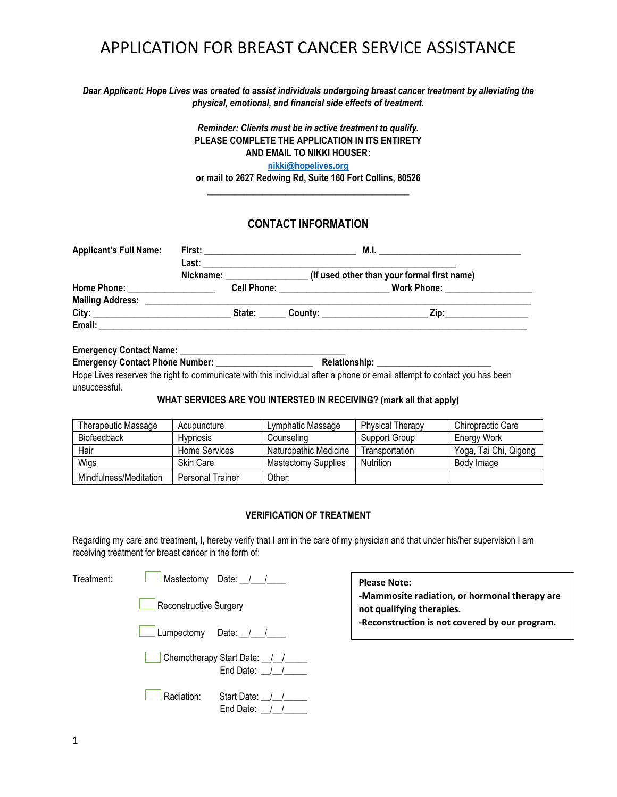## APPLICATION FOR BREAST CANCER SERVICE ASSISTANCE

#### *Dear Applicant: Hope Lives was created to assist individuals undergoing breast cancer treatment by alleviating the physical, emotional, and financial side effects of treatment.*

### *Reminder: Clients must be in active treatment to qualify.* **PLEASE COMPLETE THE APPLICATION IN ITS ENTIRETY AND EMAIL TO NIKKI HOUSER: [nikki@hopelives.org](mailto:nikki@hopelives.org) or mail to 2627 Redwing Rd, Suite 160 Fort Collins, 80526**

**\_\_\_\_\_\_\_\_\_\_\_\_\_\_\_\_\_\_\_\_\_\_\_\_\_\_\_\_\_\_\_\_\_\_\_\_\_\_\_\_\_\_\_\_**

## **CONTACT INFORMATION**

| <b>Applicant's Full Name:</b> |                              |                                             |  |
|-------------------------------|------------------------------|---------------------------------------------|--|
|                               | Nickname: __________________ | (if used other than your formal first name) |  |
|                               |                              |                                             |  |
|                               |                              |                                             |  |
| City: City:                   |                              | Zip: _______________                        |  |
|                               |                              |                                             |  |

#### **Emergency Contact Name:**

**Emergency Contact Phone Number: \_\_\_\_\_\_\_\_\_\_\_\_\_\_\_\_\_\_\_\_\_ Relationship: \_\_\_\_\_\_\_\_\_\_\_\_\_\_\_\_\_\_\_\_\_\_\_\_\_**

Hope Lives reserves the right to communicate with this individual after a phone or email attempt to contact you has been unsuccessful.

### **WHAT SERVICES ARE YOU INTERSTED IN RECEIVING? (mark all that apply)**

| Therapeutic Massage    | Acupuncture      | Lymphatic Massage          | <b>Physical Therapy</b> | Chiropractic Care     |
|------------------------|------------------|----------------------------|-------------------------|-----------------------|
| Biofeedback            | <b>Hypnosis</b>  | Counseling                 | Support Group           | <b>Energy Work</b>    |
| Hair                   | Home Services    | Naturopathic Medicine      | Transportation          | Yoga, Tai Chi, Qigong |
| Wigs                   | <b>Skin Care</b> | <b>Mastectomy Supplies</b> | Nutrition               | Body Image            |
| Mindfulness/Meditation | Personal Trainer | Other:                     |                         |                       |

#### **VERIFICATION OF TREATMENT**

Regarding my care and treatment, I, hereby verify that I am in the care of my physician and that under his/her supervision I am receiving treatment for breast cancer in the form of:

| Treatment: | Mastectomy Date: / /                           |
|------------|------------------------------------------------|
|            | Reconstructive Surgery                         |
|            | Lumpectomy Date: / /                           |
|            | Chemotherapy Start Date: \[\]<br>End Date: / / |
|            | Radiation:<br>Start Date: / /<br>End Date: /   |

#### **Please Note:**

**-Mammosite radiation, or hormonal therapy are not qualifying therapies. -Reconstruction is not covered by our program.**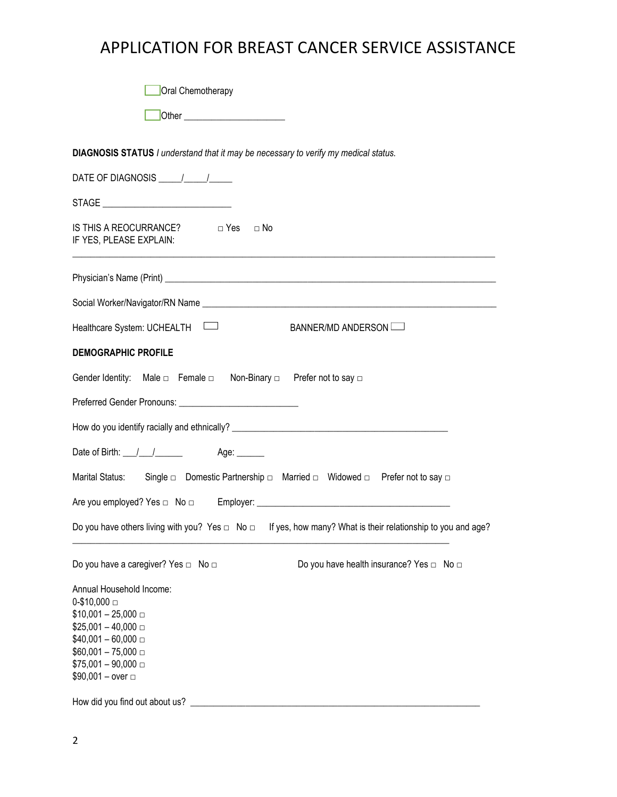# APPLICATION FOR BREAST CANCER SERVICE ASSISTANCE

| Die er et al. 2010   Die er et al. 2010   Die er et al. 2010   Die et al. 2010   Die et al. 2010   Die et al. 2010   Die et al. 2010   Die et al. 2010   Die et al. 2010   Die et al. 2010   Die et al. 2010   Die et al. 2010<br><b>DIAGNOSIS STATUS I</b> understand that it may be necessary to verify my medical status.<br>IS THIS A REOCURRANCE?<br>□ Yes  □ No<br>IF YES, PLEASE EXPLAIN:<br>Social Worker/Navigator/RN Name League and Contract the Contract of the Contract of the Contract of the Contract of the Contract of the Contract of the Contract of the Contract of the Contract of the Contract of the Contra<br>Healthcare System: UCHEALTH<br>BANNER/MD ANDERSON<br><b>DEMOGRAPHIC PROFILE</b><br>Gender Identity: Male $\Box$ Female $\Box$ Non-Binary $\Box$ Prefer not to say $\Box$<br>Marital Status: Single □ Domestic Partnership □ Married □ Widowed □ Prefer not to say □<br>Do you have others living with you? Yes $\Box$ No $\Box$ If yes, how many? What is their relationship to you and age?<br>Do you have a caregiver? Yes □ No □<br>Do you have health insurance? Yes $\Box$ No $\Box$<br>Annual Household Income: | Oral Chemotherapy |
|-------------------------------------------------------------------------------------------------------------------------------------------------------------------------------------------------------------------------------------------------------------------------------------------------------------------------------------------------------------------------------------------------------------------------------------------------------------------------------------------------------------------------------------------------------------------------------------------------------------------------------------------------------------------------------------------------------------------------------------------------------------------------------------------------------------------------------------------------------------------------------------------------------------------------------------------------------------------------------------------------------------------------------------------------------------------------------------------------------------------------------------------------------------|-------------------|
|                                                                                                                                                                                                                                                                                                                                                                                                                                                                                                                                                                                                                                                                                                                                                                                                                                                                                                                                                                                                                                                                                                                                                             |                   |
|                                                                                                                                                                                                                                                                                                                                                                                                                                                                                                                                                                                                                                                                                                                                                                                                                                                                                                                                                                                                                                                                                                                                                             |                   |
|                                                                                                                                                                                                                                                                                                                                                                                                                                                                                                                                                                                                                                                                                                                                                                                                                                                                                                                                                                                                                                                                                                                                                             |                   |
|                                                                                                                                                                                                                                                                                                                                                                                                                                                                                                                                                                                                                                                                                                                                                                                                                                                                                                                                                                                                                                                                                                                                                             |                   |
|                                                                                                                                                                                                                                                                                                                                                                                                                                                                                                                                                                                                                                                                                                                                                                                                                                                                                                                                                                                                                                                                                                                                                             |                   |
|                                                                                                                                                                                                                                                                                                                                                                                                                                                                                                                                                                                                                                                                                                                                                                                                                                                                                                                                                                                                                                                                                                                                                             |                   |
|                                                                                                                                                                                                                                                                                                                                                                                                                                                                                                                                                                                                                                                                                                                                                                                                                                                                                                                                                                                                                                                                                                                                                             |                   |
|                                                                                                                                                                                                                                                                                                                                                                                                                                                                                                                                                                                                                                                                                                                                                                                                                                                                                                                                                                                                                                                                                                                                                             |                   |
|                                                                                                                                                                                                                                                                                                                                                                                                                                                                                                                                                                                                                                                                                                                                                                                                                                                                                                                                                                                                                                                                                                                                                             |                   |
|                                                                                                                                                                                                                                                                                                                                                                                                                                                                                                                                                                                                                                                                                                                                                                                                                                                                                                                                                                                                                                                                                                                                                             |                   |
|                                                                                                                                                                                                                                                                                                                                                                                                                                                                                                                                                                                                                                                                                                                                                                                                                                                                                                                                                                                                                                                                                                                                                             |                   |
|                                                                                                                                                                                                                                                                                                                                                                                                                                                                                                                                                                                                                                                                                                                                                                                                                                                                                                                                                                                                                                                                                                                                                             |                   |
|                                                                                                                                                                                                                                                                                                                                                                                                                                                                                                                                                                                                                                                                                                                                                                                                                                                                                                                                                                                                                                                                                                                                                             |                   |
|                                                                                                                                                                                                                                                                                                                                                                                                                                                                                                                                                                                                                                                                                                                                                                                                                                                                                                                                                                                                                                                                                                                                                             |                   |
|                                                                                                                                                                                                                                                                                                                                                                                                                                                                                                                                                                                                                                                                                                                                                                                                                                                                                                                                                                                                                                                                                                                                                             |                   |
|                                                                                                                                                                                                                                                                                                                                                                                                                                                                                                                                                                                                                                                                                                                                                                                                                                                                                                                                                                                                                                                                                                                                                             |                   |
|                                                                                                                                                                                                                                                                                                                                                                                                                                                                                                                                                                                                                                                                                                                                                                                                                                                                                                                                                                                                                                                                                                                                                             |                   |
| $$10,001 - 25,000 =$<br>$$25,001 - 40,000 =$<br>$$40,001 - 60,000 =$<br>$$60,001 - 75,000 =$<br>$$75,001 - 90,000 =$<br>$$90,001 - over =$<br>How did you find out about us?                                                                                                                                                                                                                                                                                                                                                                                                                                                                                                                                                                                                                                                                                                                                                                                                                                                                                                                                                                                | $0-10,000 =$      |